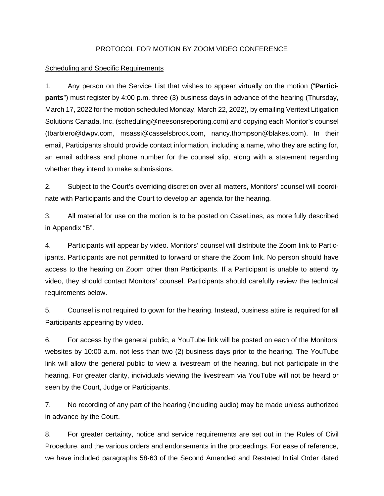## PROTOCOL FOR MOTION BY ZOOM VIDEO CONFERENCE

## **Scheduling and Specific Requirements**

1. Any person on the Service List that wishes to appear virtually on the motion ("**Participants**") must register by 4:00 p.m. three (3) business days in advance of the hearing (Thursday, March 17, 2022 for the motion scheduled Monday, March 22, 2022), by emailing Veritext Litigation Solutions Canada, Inc. (scheduling@neesonsreporting.com) and copying each Monitor's counsel (tbarbiero@dwpv.com, msassi@casselsbrock.com, nancy.thompson@blakes.com). In their email, Participants should provide contact information, including a name, who they are acting for, an email address and phone number for the counsel slip, along with a statement regarding whether they intend to make submissions.

2. Subject to the Court's overriding discretion over all matters, Monitors' counsel will coordinate with Participants and the Court to develop an agenda for the hearing.

3. All material for use on the motion is to be posted on CaseLines, as more fully described in Appendix "B".

4. Participants will appear by video. Monitors' counsel will distribute the Zoom link to Participants. Participants are not permitted to forward or share the Zoom link. No person should have access to the hearing on Zoom other than Participants. If a Participant is unable to attend by video, they should contact Monitors' counsel. Participants should carefully review the technical requirements below.

5. Counsel is not required to gown for the hearing. Instead, business attire is required for all Participants appearing by video.

6. For access by the general public, a YouTube link will be posted on each of the Monitors' websites by 10:00 a.m. not less than two (2) business days prior to the hearing. The YouTube link will allow the general public to view a livestream of the hearing, but not participate in the hearing. For greater clarity, individuals viewing the livestream via YouTube will not be heard or seen by the Court, Judge or Participants.

7. No recording of any part of the hearing (including audio) may be made unless authorized in advance by the Court.

8. For greater certainty, notice and service requirements are set out in the Rules of Civil Procedure, and the various orders and endorsements in the proceedings. For ease of reference, we have included paragraphs 58-63 of the Second Amended and Restated Initial Order dated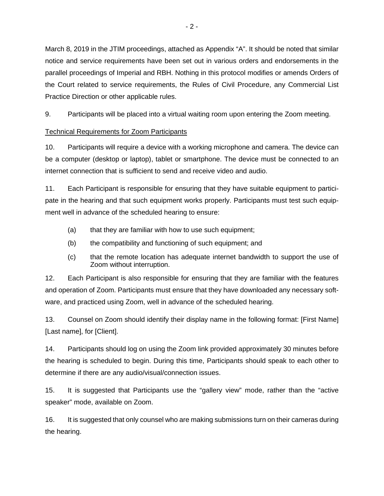March 8, 2019 in the JTIM proceedings, attached as Appendix "A". It should be noted that similar notice and service requirements have been set out in various orders and endorsements in the parallel proceedings of Imperial and RBH. Nothing in this protocol modifies or amends Orders of the Court related to service requirements, the Rules of Civil Procedure, any Commercial List Practice Direction or other applicable rules.

9. Participants will be placed into a virtual waiting room upon entering the Zoom meeting.

# Technical Requirements for Zoom Participants

10. Participants will require a device with a working microphone and camera. The device can be a computer (desktop or laptop), tablet or smartphone. The device must be connected to an internet connection that is sufficient to send and receive video and audio.

11. Each Participant is responsible for ensuring that they have suitable equipment to participate in the hearing and that such equipment works properly. Participants must test such equipment well in advance of the scheduled hearing to ensure:

- (a) that they are familiar with how to use such equipment;
- (b) the compatibility and functioning of such equipment; and
- (c) that the remote location has adequate internet bandwidth to support the use of Zoom without interruption.

12. Each Participant is also responsible for ensuring that they are familiar with the features and operation of Zoom. Participants must ensure that they have downloaded any necessary software, and practiced using Zoom, well in advance of the scheduled hearing.

13. Counsel on Zoom should identify their display name in the following format: [First Name] [Last name], for [Client].

14. Participants should log on using the Zoom link provided approximately 30 minutes before the hearing is scheduled to begin. During this time, Participants should speak to each other to determine if there are any audio/visual/connection issues.

15. It is suggested that Participants use the "gallery view" mode, rather than the "active speaker" mode, available on Zoom.

16. It is suggested that only counsel who are making submissions turn on their cameras during the hearing.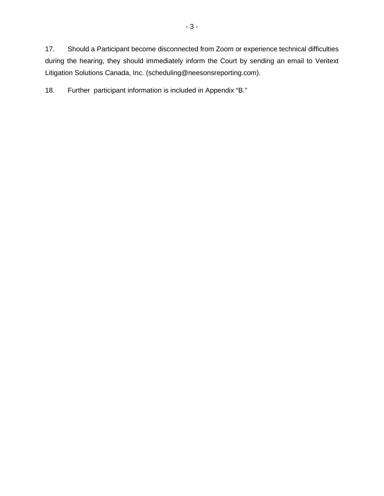17. Should a Participant become disconnected from Zoom or experience technical difficulties during the hearing, they should immediately inform the Court by sending an email to Veritext Litigation Solutions Canada, Inc. (scheduling@neesonsreporting.com).

18. Further participant information is included in Appendix "B."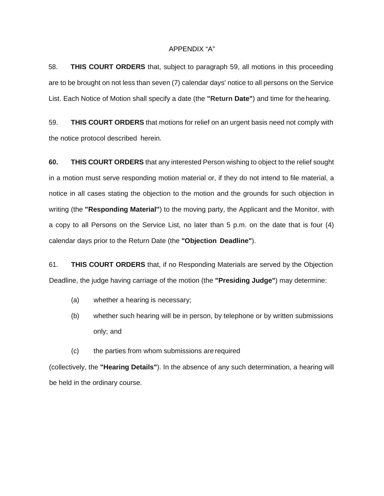#### APPENDIX "A"

58. **THIS COURT ORDERS** that, subject to paragraph 59, all motions in this proceeding are to be brought on not less than seven (7) calendar days' notice to all persons on the Service List. Each Notice of Motion shall specify a date (the **"Return Date"**) and time for the hearing.

59. **THIS COURT ORDERS** that motions for relief on an urgent basis need not comply with the notice protocol described herein.

**60. THIS COURT ORDERS** that any interested Person wishing to object to the relief sought in a motion must serve responding motion material or, if they do not intend to file material, a notice in all cases stating the objection to the motion and the grounds for such objection in writing (the **"Responding Material''**) to the moving party, the Applicant and the Monitor, with a copy to all Persons on the Service List, no later than 5 p.m. on the date that is four (4) calendar days prior to the Return Date (the **"Objection Deadline"**).

61. **THIS COURT ORDERS** that, if no Responding Materials are served by the Objection Deadline, the judge having carriage of the motion (the **"Presiding Judge"**) may determine:

- (a) whether a hearing is necessary;
- (b) whether such hearing will be in person, by telephone or by written submissions only; and
- (c) the parties from whom submissions are required

(collectively, the **"Hearing Details"**). In the absence of any such determination, a hearing will be held in the ordinary course.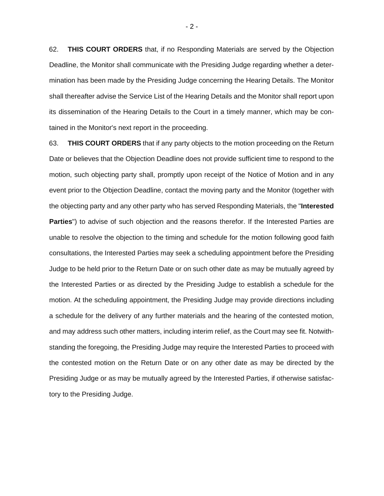62. **THIS COURT ORDERS** that, if no Responding Materials are served by the Objection Deadline, the Monitor shall communicate with the Presiding Judge regarding whether a determination has been made by the Presiding Judge concerning the Hearing Details. The Monitor shall thereafter advise the Service List of the Hearing Details and the Monitor shall report upon its dissemination of the Hearing Details to the Court in a timely manner, which may be contained in the Monitor's next report in the proceeding.

63. **THIS COURT ORDERS** that if any party objects to the motion proceeding on the Return Date or believes that the Objection Deadline does not provide sufficient time to respond to the motion, such objecting party shall, promptly upon receipt of the Notice of Motion and in any event prior to the Objection Deadline, contact the moving party and the Monitor (together with the objecting party and any other party who has served Responding Materials, the "**Interested Parties**") to advise of such objection and the reasons therefor. If the Interested Parties are unable to resolve the objection to the timing and schedule for the motion following good faith consultations, the Interested Parties may seek a scheduling appointment before the Presiding Judge to be held prior to the Return Date or on such other date as may be mutually agreed by the Interested Parties or as directed by the Presiding Judge to establish a schedule for the motion. At the scheduling appointment, the Presiding Judge may provide directions including a schedule for the delivery of any further materials and the hearing of the contested motion, and may address such other matters, including interim relief, as the Court may see fit. Notwithstanding the foregoing, the Presiding Judge may require the Interested Parties to proceed with the contested motion on the Return Date or on any other date as may be directed by the Presiding Judge or as may be mutually agreed by the Interested Parties, if otherwise satisfactory to the Presiding Judge.

 $-2 -$